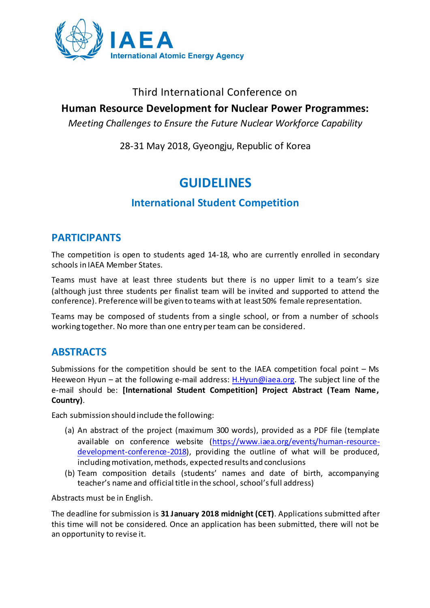

### Third International Conference on

## **Human Resource Development for Nuclear Power Programmes:**

*Meeting Challenges to Ensure the Future Nuclear Workforce Capability*

28-31 May 2018, Gyeongju, Republic of Korea

# **GUIDELINES**

## **International Student Competition**

#### **PARTICIPANTS**

The competition is open to students aged 14-18, who are currently enrolled in secondary schools in IAEA Member States.

Teams must have at least three students but there is no upper limit to a team's size (although just three students per finalist team will be invited and supported to attend the conference). Preference will be given to teams with at least 50% female representation.

Teams may be composed of students from a single school, or from a number of schools working together. No more than one entry per team can be considered.

## **ABSTRACTS**

Submissions for the competition should be sent to the IAEA competition focal point – Ms Heeweon Hyun – at the following e-mail address: [H.Hyun@iaea.org.](mailto:H.Hyun@iaea.org) The subject line of the e-mail should be: **[International Student Competition] Project Abstract (Team Name, Country)**.

Each submission should include the following:

- (a) An abstract of the project (maximum 300 words), provided as a PDF file (template available on conference website [\(https://www.iaea.org/events/human-resource](https://www.iaea.org/events/human-resource-development-conference-2018)[development-conference-2018\)](https://www.iaea.org/events/human-resource-development-conference-2018), providing the outline of what will be produced, including motivation, methods, expected results and conclusions
- (b) Team composition details (students' names and date of birth, accompanying teacher's name and official title in the school, school's full address)

Abstracts must be in English.

The deadline for submission is **31 January 2018 midnight (CET)**. Applications submitted after this time will not be considered. Once an application has been submitted, there will not be an opportunity to revise it.